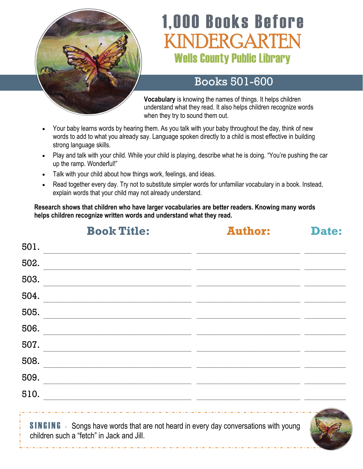

# **1,000 Books Before** VDERGARTEN **Wells County Public Library**

## Books 501-600

**Vocabulary** is knowing the names of things. It helps children understand what they read. It also helps children recognize words when they try to sound them out.

- Your baby learns words by hearing them. As you talk with your baby throughout the day, think of new words to add to what you already say. Language spoken directly to a child is most effective in building strong language skills.
- Play and talk with your child. While your child is playing, describe what he is doing. "You're pushing the car up the ramp. Wonderful!"
- Talk with your child about how things work, feelings, and ideas.
- Read together every day. Try not to substitute simpler words for unfamiliar vocabulary in a book. Instead, explain words that your child may not already understand.

**Research shows that children who have larger vocabularies are better readers. Knowing many words helps children recognize written words and understand what they read.**

|      | <b>Book Title:</b>                                                                                                                      | <b>Author:</b>                                              | Date: |
|------|-----------------------------------------------------------------------------------------------------------------------------------------|-------------------------------------------------------------|-------|
| 501. |                                                                                                                                         |                                                             |       |
| 502. | <u> 1990 - Johann John Stone, mars eta bat eta bat eta bat eta bat ez erroman ez erroman ez erroman ez erroman e</u>                    |                                                             |       |
| 503. |                                                                                                                                         | <u> 1989 - Johann Stoff, amerikansk politiker (d. 1989)</u> |       |
| 504. |                                                                                                                                         |                                                             |       |
| 505. | <u> 1989 - Johann Harry Harry Harry Harry Harry Harry Harry Harry Harry Harry Harry Harry Harry Harry Harry Harry</u>                   |                                                             |       |
| 506. |                                                                                                                                         |                                                             |       |
| 507. |                                                                                                                                         |                                                             |       |
| 508. |                                                                                                                                         |                                                             |       |
| 509. |                                                                                                                                         |                                                             |       |
| 510. |                                                                                                                                         |                                                             |       |
|      |                                                                                                                                         |                                                             |       |
|      | <b>SINGING</b> - Songs have words that are not heard in every day conversations with young<br>children such a "fetch" in Jack and Jill. |                                                             |       |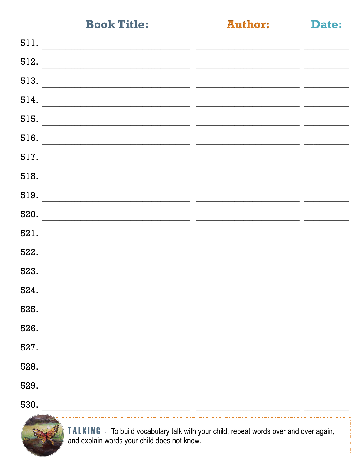**Author:** 

Date:

| 511.<br><u> 1989 - Johann John Stone, mars eta bat eta bat eta bat eta bat ez arte eta bat ez arte eta bat ez arte eta b</u>  |        |  |
|-------------------------------------------------------------------------------------------------------------------------------|--------|--|
| 512.                                                                                                                          |        |  |
| 513.                                                                                                                          |        |  |
| 514.                                                                                                                          |        |  |
| 515.                                                                                                                          |        |  |
| 516.                                                                                                                          | $\sim$ |  |
| 517.                                                                                                                          |        |  |
| 518.                                                                                                                          |        |  |
| 519.<br><u> 1989 - Jan James James Barnett, mars andre format de la propinsion de la propinsion de la propinsion de la p</u>  |        |  |
| 520.                                                                                                                          |        |  |
| 521.                                                                                                                          |        |  |
| 522.                                                                                                                          |        |  |
| 523.                                                                                                                          |        |  |
| 524.                                                                                                                          |        |  |
| 525.                                                                                                                          |        |  |
| 526.                                                                                                                          |        |  |
| 527.                                                                                                                          |        |  |
| 528.                                                                                                                          |        |  |
| 529.                                                                                                                          |        |  |
| 530.<br><u> 1980 - Jan Samuel Barbara, margaret eta idazlearen 19a - Jan Samuel Barbara, idazlear eta idazlearen 19a - Ja</u> |        |  |
| To build used a double with with you welded proposed would                                                                    |        |  |



**TALKING** - To build vocabulary talk with your child, repeat words over and over again, and explain words your child does not know.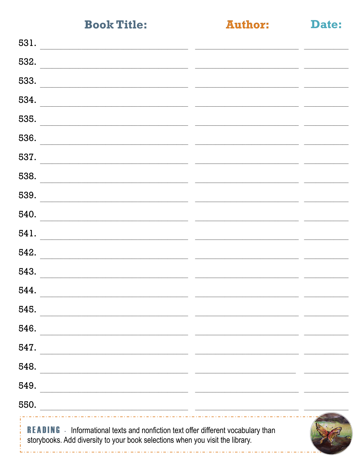والمتراد المرادا المراد المراد المراد المرا

**Author:** 

| . .<br>$\sim$ |  |
|---------------|--|
|               |  |

| 531.                                                                                                                                                                      |  |
|---------------------------------------------------------------------------------------------------------------------------------------------------------------------------|--|
| 532.                                                                                                                                                                      |  |
| 533.                                                                                                                                                                      |  |
| 534.                                                                                                                                                                      |  |
| 535.                                                                                                                                                                      |  |
| 536.                                                                                                                                                                      |  |
| 537.                                                                                                                                                                      |  |
| 538.                                                                                                                                                                      |  |
| 539.                                                                                                                                                                      |  |
| 540.                                                                                                                                                                      |  |
| 541.                                                                                                                                                                      |  |
| 542.                                                                                                                                                                      |  |
| 543.                                                                                                                                                                      |  |
| 544.                                                                                                                                                                      |  |
| 545.                                                                                                                                                                      |  |
| 546.                                                                                                                                                                      |  |
| 547.                                                                                                                                                                      |  |
| 548.<br><u> 1989 - Johann John Harry Harry Harry Harry Harry Harry Harry Harry Harry Harry Harry Harry Harry Harry Harry</u>                                              |  |
| 549.<br><u> 1989 - Johann John Stone, mars et al. (1989)</u>                                                                                                              |  |
| 550.<br><u> 1989 - Johann Barn, mars ann an t-Amhainn an t-Amhainn an t-Amhainn an t-Amhainn an t-Amhainn an t-Amhainn a</u>                                              |  |
| <b>READING</b> - Informational texts and nonfiction text offer different vocabulary than<br>storybooks. Add diversity to your book selections when you visit the library. |  |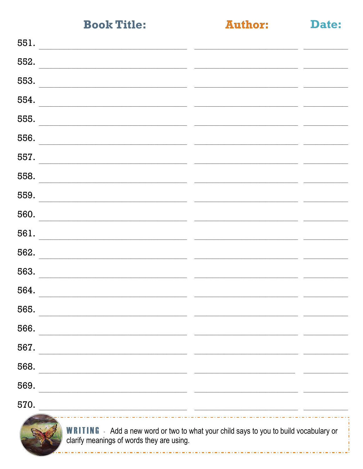**Author:** 

Date:

| 551.<br><u> 2008 - Januar Amerikaanse kommunister († 2008)</u>                                                                                                                                                                        |                                                                                           |                                              |
|---------------------------------------------------------------------------------------------------------------------------------------------------------------------------------------------------------------------------------------|-------------------------------------------------------------------------------------------|----------------------------------------------|
| 552.                                                                                                                                                                                                                                  |                                                                                           |                                              |
| 553.                                                                                                                                                                                                                                  |                                                                                           |                                              |
| 554.<br><u> 1980 - Jan Barbara, margaret amerikan basar dan berasal dalam pengaran basar dalam pengaran basar dan berasa</u>                                                                                                          | the control of the control of the control of the control of the control of the control of | the control of the control of the control of |
| 555.<br>the contract of the contract of the contract of the contract of the contract of                                                                                                                                               |                                                                                           |                                              |
| 556.                                                                                                                                                                                                                                  |                                                                                           |                                              |
| 557.<br>the contract of the contract of the contract of the contract of the contract of                                                                                                                                               |                                                                                           |                                              |
| 558.<br>the control of the control of the control of the control of the control of the control of the control of the control of the control of the control of the control of the control of the control of the control of the control |                                                                                           |                                              |
| 559.                                                                                                                                                                                                                                  |                                                                                           |                                              |
| 560.                                                                                                                                                                                                                                  |                                                                                           |                                              |
| 561.                                                                                                                                                                                                                                  |                                                                                           |                                              |
| 562.                                                                                                                                                                                                                                  |                                                                                           |                                              |
| 563.                                                                                                                                                                                                                                  |                                                                                           |                                              |
| 564.<br><u> 1989 - John Stone, Amerikaansk politiker (* 1908)</u>                                                                                                                                                                     |                                                                                           |                                              |
| 565.                                                                                                                                                                                                                                  |                                                                                           |                                              |
| 566.                                                                                                                                                                                                                                  |                                                                                           |                                              |
| 567.                                                                                                                                                                                                                                  |                                                                                           |                                              |
| 568.                                                                                                                                                                                                                                  |                                                                                           |                                              |
| 569.                                                                                                                                                                                                                                  |                                                                                           |                                              |
| 570.                                                                                                                                                                                                                                  |                                                                                           |                                              |
|                                                                                                                                                                                                                                       |                                                                                           |                                              |



**WRITING** - Add a new word or two to what your child says to you to build vocabulary or clarify meanings of words they are using.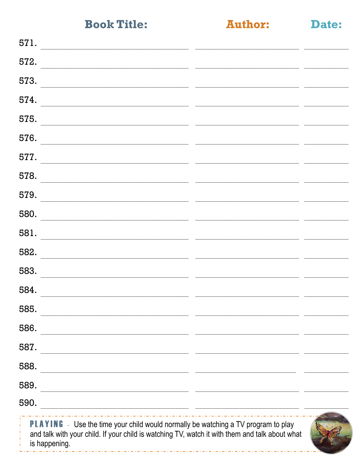$- - -$ 

**Author:** 

| Date: |
|-------|
|       |

| 571.                                                                                                                                                                                                              |  |
|-------------------------------------------------------------------------------------------------------------------------------------------------------------------------------------------------------------------|--|
| 572.                                                                                                                                                                                                              |  |
| 573.                                                                                                                                                                                                              |  |
| 574.                                                                                                                                                                                                              |  |
| 575.                                                                                                                                                                                                              |  |
| 576.                                                                                                                                                                                                              |  |
| 577.                                                                                                                                                                                                              |  |
| 578.                                                                                                                                                                                                              |  |
| 579.                                                                                                                                                                                                              |  |
| 580.                                                                                                                                                                                                              |  |
| 581.                                                                                                                                                                                                              |  |
| 582.                                                                                                                                                                                                              |  |
| 583.                                                                                                                                                                                                              |  |
| 584.                                                                                                                                                                                                              |  |
| 585.                                                                                                                                                                                                              |  |
| 586.                                                                                                                                                                                                              |  |
| 587.                                                                                                                                                                                                              |  |
| 588.                                                                                                                                                                                                              |  |
| 589.<br><u> 1989 - Johann Barbara, martin amerikan basar dan basa dalam pengaran basa dalam pengaran basa dalam pengaran</u>                                                                                      |  |
| 590.                                                                                                                                                                                                              |  |
| <b>PLAYING</b> - Use the time your child would normally be watching a TV program to play<br>î,<br>and talk with your child. If your child is watching TV, watch it with them and talk about what<br>is happening. |  |